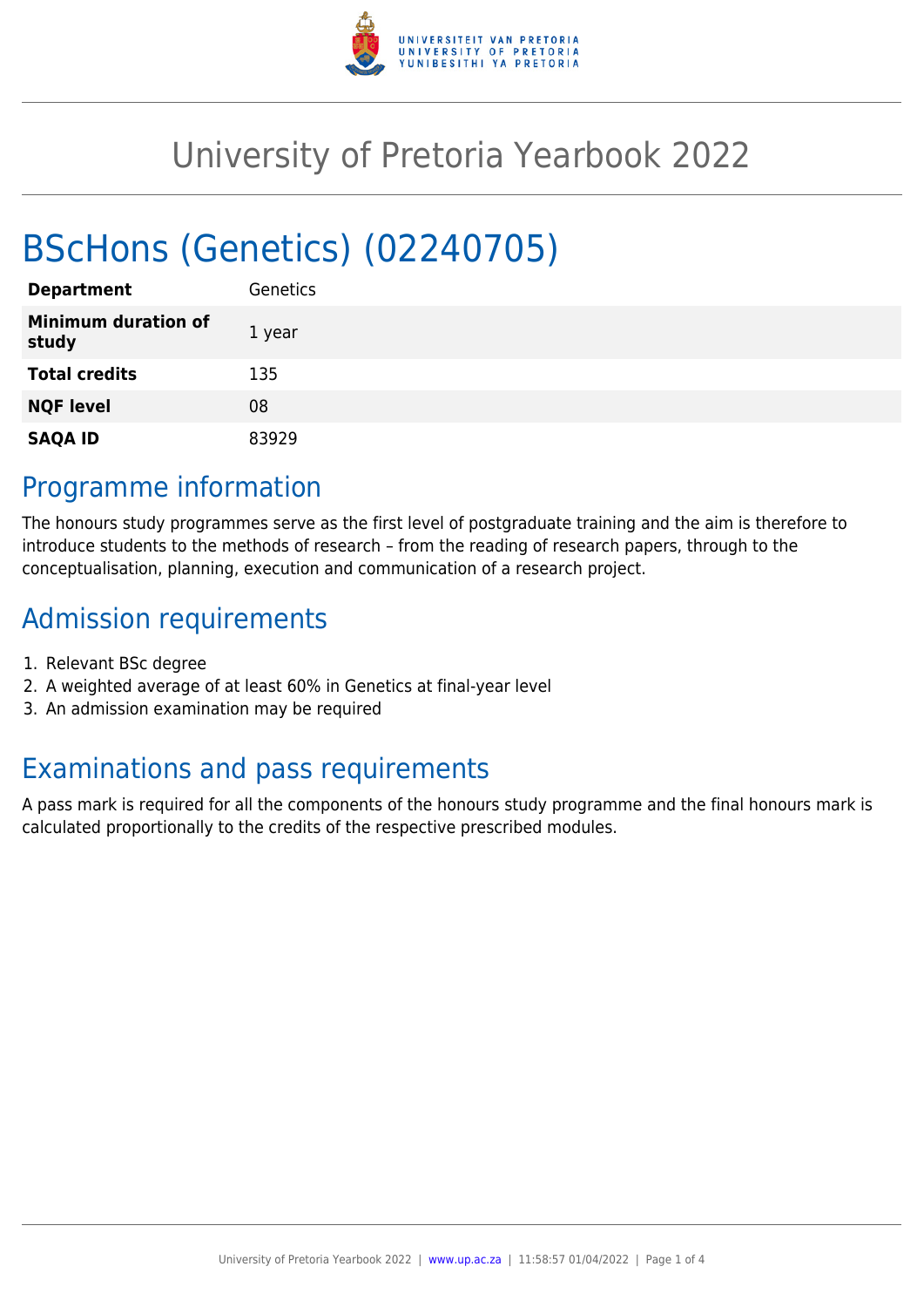

# University of Pretoria Yearbook 2022

# BScHons (Genetics) (02240705)

| <b>Department</b>                   | <b>Genetics</b> |
|-------------------------------------|-----------------|
| <b>Minimum duration of</b><br>study | 1 year          |
| <b>Total credits</b>                | 135             |
| <b>NQF level</b>                    | 08              |
| <b>SAQA ID</b>                      | 83929           |

# Programme information

The honours study programmes serve as the first level of postgraduate training and the aim is therefore to introduce students to the methods of research – from the reading of research papers, through to the conceptualisation, planning, execution and communication of a research project.

# Admission requirements

- 1. Relevant BSc degree
- 2. A weighted average of at least 60% in Genetics at final-year level
- 3. An admission examination may be required

# Examinations and pass requirements

A pass mark is required for all the components of the honours study programme and the final honours mark is calculated proportionally to the credits of the respective prescribed modules.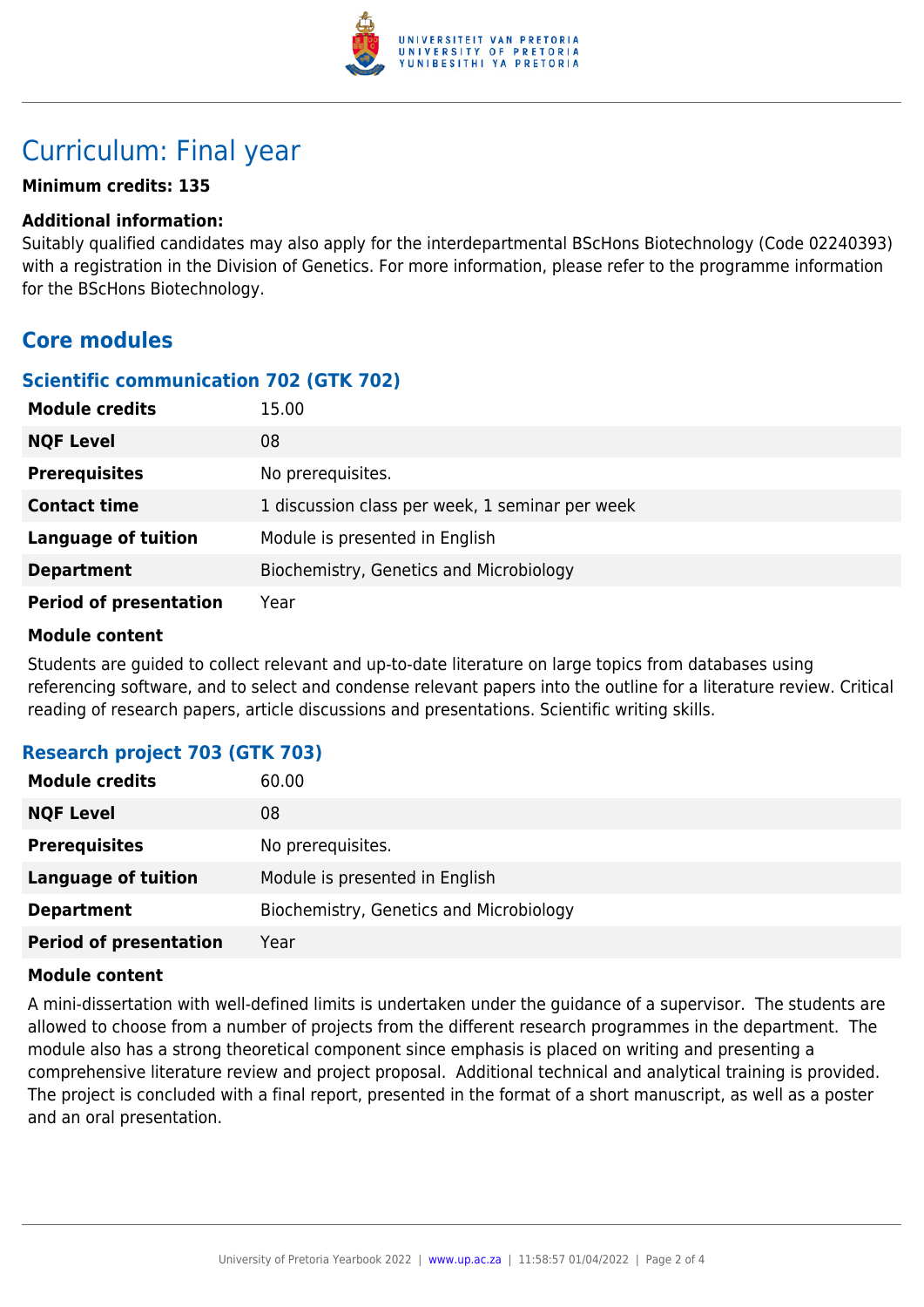

# Curriculum: Final year

#### **Minimum credits: 135**

#### **Additional information:**

Suitably qualified candidates may also apply for the interdepartmental BScHons Biotechnology (Code 02240393) with a registration in the Division of Genetics. For more information, please refer to the programme information for the BScHons Biotechnology.

## **Core modules**

### **Scientific communication 702 (GTK 702)**

| <b>Module credits</b>         | 15.00                                           |
|-------------------------------|-------------------------------------------------|
| <b>NQF Level</b>              | 08                                              |
| <b>Prerequisites</b>          | No prerequisites.                               |
| <b>Contact time</b>           | 1 discussion class per week, 1 seminar per week |
| <b>Language of tuition</b>    | Module is presented in English                  |
| <b>Department</b>             | Biochemistry, Genetics and Microbiology         |
| <b>Period of presentation</b> | Year                                            |

#### **Module content**

Students are guided to collect relevant and up-to-date literature on large topics from databases using referencing software, and to select and condense relevant papers into the outline for a literature review. Critical reading of research papers, article discussions and presentations. Scientific writing skills.

### **Research project 703 (GTK 703)**

| <b>Module credits</b>         | 60.00                                   |
|-------------------------------|-----------------------------------------|
| <b>NQF Level</b>              | 08                                      |
| <b>Prerequisites</b>          | No prerequisites.                       |
| <b>Language of tuition</b>    | Module is presented in English          |
| <b>Department</b>             | Biochemistry, Genetics and Microbiology |
| <b>Period of presentation</b> | Year                                    |

#### **Module content**

A mini-dissertation with well-defined limits is undertaken under the guidance of a supervisor. The students are allowed to choose from a number of projects from the different research programmes in the department. The module also has a strong theoretical component since emphasis is placed on writing and presenting a comprehensive literature review and project proposal. Additional technical and analytical training is provided. The project is concluded with a final report, presented in the format of a short manuscript, as well as a poster and an oral presentation.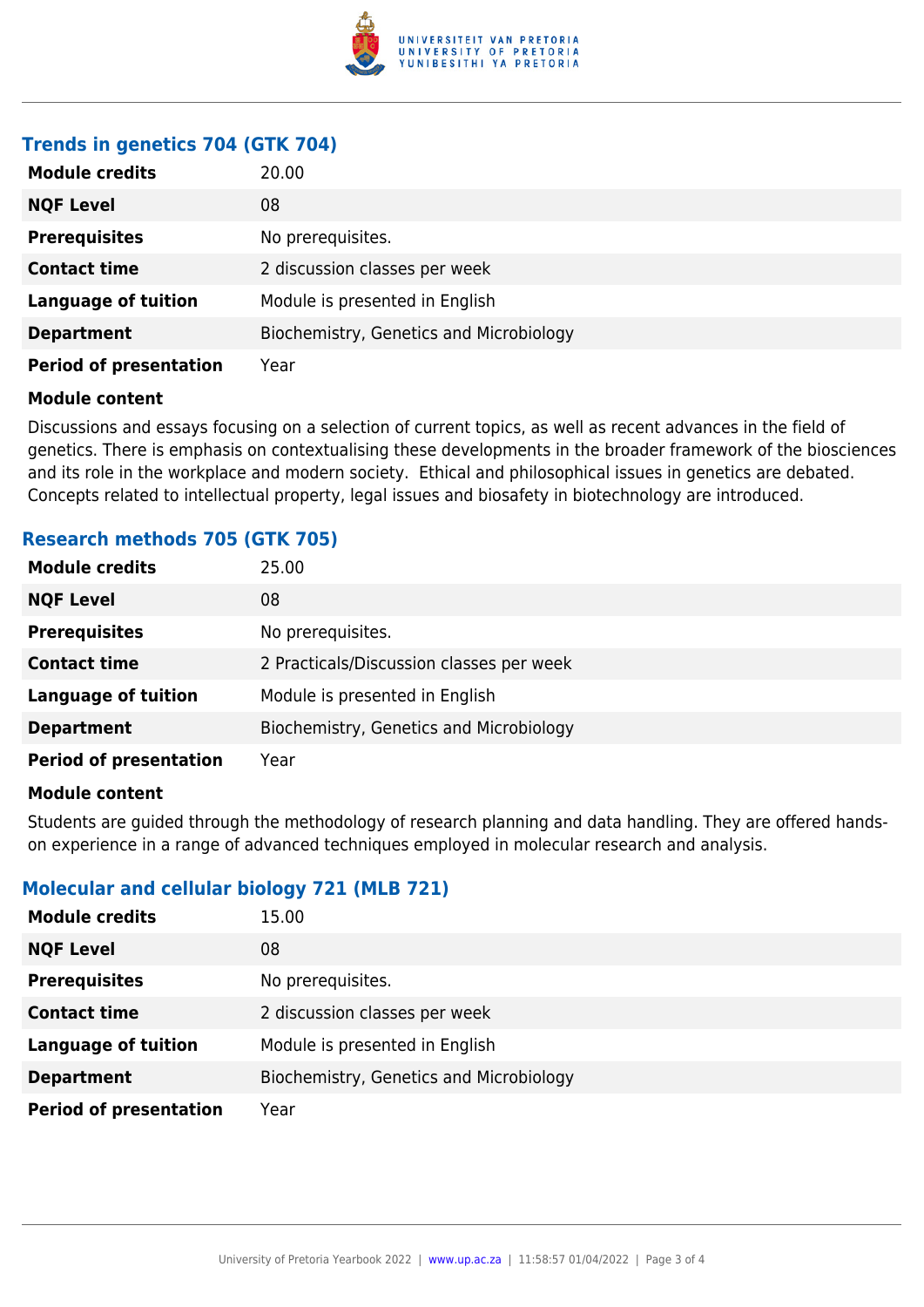

## **Trends in genetics 704 (GTK 704)**

| <b>Module credits</b>         | 20.00                                   |
|-------------------------------|-----------------------------------------|
| <b>NQF Level</b>              | 08                                      |
| <b>Prerequisites</b>          | No prerequisites.                       |
| <b>Contact time</b>           | 2 discussion classes per week           |
| <b>Language of tuition</b>    | Module is presented in English          |
| <b>Department</b>             | Biochemistry, Genetics and Microbiology |
| <b>Period of presentation</b> | Year                                    |

#### **Module content**

Discussions and essays focusing on a selection of current topics, as well as recent advances in the field of genetics. There is emphasis on contextualising these developments in the broader framework of the biosciences and its role in the workplace and modern society. Ethical and philosophical issues in genetics are debated. Concepts related to intellectual property, legal issues and biosafety in biotechnology are introduced.

### **Research methods 705 (GTK 705)**

| <b>Module credits</b>         | 25.00                                    |
|-------------------------------|------------------------------------------|
| <b>NQF Level</b>              | 08                                       |
| <b>Prerequisites</b>          | No prerequisites.                        |
| <b>Contact time</b>           | 2 Practicals/Discussion classes per week |
| <b>Language of tuition</b>    | Module is presented in English           |
| <b>Department</b>             | Biochemistry, Genetics and Microbiology  |
| <b>Period of presentation</b> | Year                                     |

#### **Module content**

Students are guided through the methodology of research planning and data handling. They are offered handson experience in a range of advanced techniques employed in molecular research and analysis.

### **Molecular and cellular biology 721 (MLB 721)**

| <b>Module credits</b>         | 15.00                                   |
|-------------------------------|-----------------------------------------|
| <b>NQF Level</b>              | 08                                      |
| <b>Prerequisites</b>          | No prerequisites.                       |
| <b>Contact time</b>           | 2 discussion classes per week           |
| <b>Language of tuition</b>    | Module is presented in English          |
| <b>Department</b>             | Biochemistry, Genetics and Microbiology |
| <b>Period of presentation</b> | Year                                    |